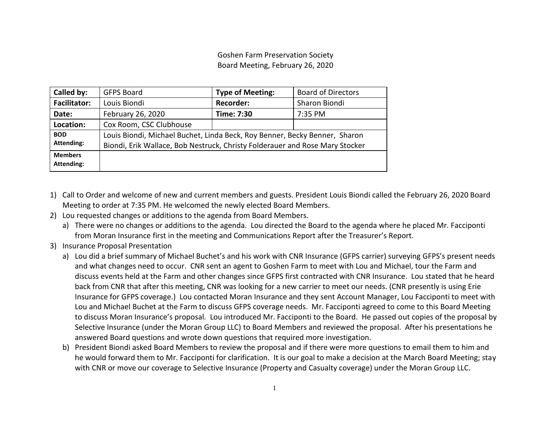Goshen Farm Preservation Society Board Meeting, February 26, 2020

| Called by:                   | <b>GFPS Board</b>                                                                                                                                          | <b>Type of Meeting:</b> | <b>Board of Directors</b> |
|------------------------------|------------------------------------------------------------------------------------------------------------------------------------------------------------|-------------------------|---------------------------|
| <b>Facilitator:</b>          | Louis Biondi                                                                                                                                               | <b>Recorder:</b>        | Sharon Biondi             |
| Date:                        | February 26, 2020                                                                                                                                          | Time: 7:30              | 7:35 PM                   |
| Location:                    | Cox Room, CSC Clubhouse                                                                                                                                    |                         |                           |
| <b>BOD</b><br>Attending:     | Louis Biondi, Michael Buchet, Linda Beck, Roy Benner, Becky Benner, Sharon<br>Biondi, Erik Wallace, Bob Nestruck, Christy Folderauer and Rose Mary Stocker |                         |                           |
| <b>Members</b><br>Attending: |                                                                                                                                                            |                         |                           |

- 1) Call to Order and welcome of new and current members and guests. President Louis Biondi called the February 26, 2020 Board Meeting to order at 7:35 PM. He welcomed the newly elected Board Members.
- 2) Lou requested changes or additions to the agenda from Board Members.
	- a) There were no changes or additions to the agenda. Lou directed the Board to the agenda where he placed Mr. Facciponti from Moran Insurance first in the meeting and Communications Report after the Treasurer's Report.
- 3) Insurance Proposal Presentation
	- a) Lou did a brief summary of Michael Buchet's and his work with CNR Insurance (GFPS carrier) surveying GFPS's present needs and what changes need to occur. CNR sent an agent to Goshen Farm to meet with Lou and Michael, tour the Farm and discuss events held at the Farm and other changes since GFPS first contracted with CNR Insurance. Lou stated that he heard back from CNR that after this meeting, CNR was looking for a new carrier to meet our needs. (CNR presently is using Erie Insurance for GFPS coverage.) Lou contacted Moran Insurance and they sent Account Manager, Lou Facciponti to meet with Lou and Michael Buchet at the Farm to discuss GFPS coverage needs. Mr. Facciponti agreed to come to this Board Meeting to discuss Moran Insurance's proposal. Lou introduced Mr. Facciponti to the Board. He passed out copies of the proposal by Selective Insurance (under the Moran Group LLC) to Board Members and reviewed the proposal. After his presentations he answered Board questions and wrote down questions that required more investigation.
	- b) President Biondi asked Board Members to review the proposal and if there were more questions to email them to him and he would forward them to Mr. Facciponti for clarification. It is our goal to make a decision at the March Board Meeting; stay with CNR or move our coverage to Selective Insurance (Property and Casualty coverage) under the Moran Group LLC.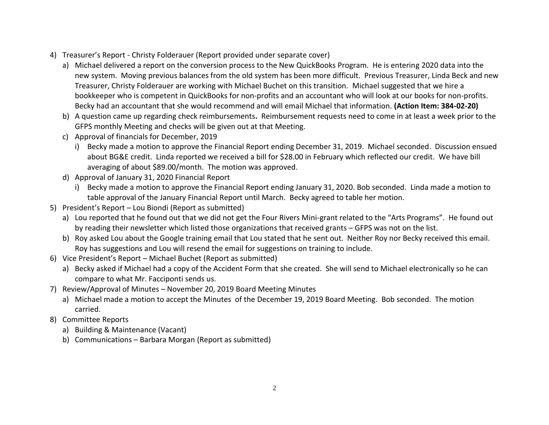- 4) Treasurer's Report Christy Folderauer (Report provided under separate cover)
	- a) Michael delivered a report on the conversion process to the New QuickBooks Program. He is entering 2020 data into the new system. Moving previous balances from the old system has been more difficult. Previous Treasurer, Linda Beck and new Treasurer, Christy Folderauer are working with Michael Buchet on this transition. Michael suggested that we hire a bookkeeper who is competent in QuickBooks for non-profits and an accountant who will look at our books for non-profits. Becky had an accountant that she would recommend and will email Michael that information. **(Action Item: 384-02-20)**
	- b) A question came up regarding check reimbursements**.** Reimbursement requests need to come in at least a week prior to the GFPS monthly Meeting and checks will be given out at that Meeting.
	- c) Approval of financials for December, 2019
		- i) Becky made a motion to approve the Financial Report ending December 31, 2019. Michael seconded. Discussion ensued about BG&E credit. Linda reported we received a bill for \$28.00 in February which reflected our credit. We have bill averaging of about \$89.00/month. The motion was approved.
	- d) Approval of January 31, 2020 Financial Report
		- i) Becky made a motion to approve the Financial Report ending January 31, 2020. Bob seconded. Linda made a motion to table approval of the January Financial Report until March. Becky agreed to table her motion.
- 5) President's Report Lou Biondi (Report as submitted)
	- a) Lou reported that he found out that we did not get the Four Rivers Mini-grant related to the "Arts Programs". He found out by reading their newsletter which listed those organizations that received grants – GFPS was not on the list.
	- b) Roy asked Lou about the Google training email that Lou stated that he sent out. Neither Roy nor Becky received this email. Roy has suggestions and Lou will resend the email for suggestions on training to include.
- 6) Vice President's Report Michael Buchet (Report as submitted)
	- a) Becky asked if Michael had a copy of the Accident Form that she created. She will send to Michael electronically so he can compare to what Mr. Facciponti sends us.
- 7) Review/Approval of Minutes November 20, 2019 Board Meeting Minutes
	- a) Michael made a motion to accept the Minutes of the December 19, 2019 Board Meeting. Bob seconded. The motion carried.
- 8) Committee Reports
	- a) Building & Maintenance (Vacant)
	- b) Communications Barbara Morgan (Report as submitted)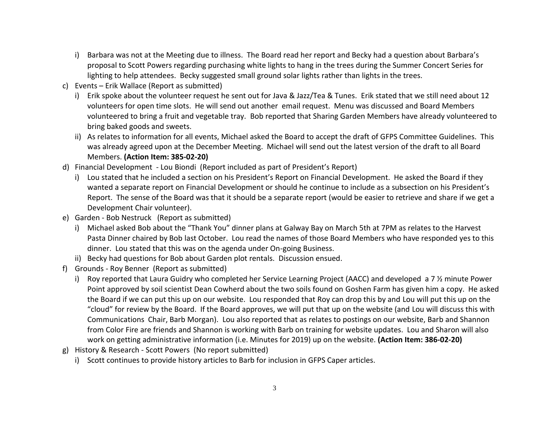- i) Barbara was not at the Meeting due to illness. The Board read her report and Becky had a question about Barbara's proposal to Scott Powers regarding purchasing white lights to hang in the trees during the Summer Concert Series for lighting to help attendees. Becky suggested small ground solar lights rather than lights in the trees.
- c) Events Erik Wallace (Report as submitted)
	- i) Erik spoke about the volunteer request he sent out for Java & Jazz/Tea & Tunes. Erik stated that we still need about 12 volunteers for open time slots. He will send out another email request. Menu was discussed and Board Members volunteered to bring a fruit and vegetable tray. Bob reported that Sharing Garden Members have already volunteered to bring baked goods and sweets.
	- ii) As relates to information for all events, Michael asked the Board to accept the draft of GFPS Committee Guidelines. This was already agreed upon at the December Meeting. Michael will send out the latest version of the draft to all Board Members. **(Action Item: 385-02-20)**
- d) Financial Development Lou Biondi (Report included as part of President's Report)
	- i) Lou stated that he included a section on his President's Report on Financial Development. He asked the Board if they wanted a separate report on Financial Development or should he continue to include as a subsection on his President's Report. The sense of the Board was that it should be a separate report (would be easier to retrieve and share if we get a Development Chair volunteer).
- e) Garden Bob Nestruck (Report as submitted)
	- i) Michael asked Bob about the "Thank You" dinner plans at Galway Bay on March 5th at 7PM as relates to the Harvest Pasta Dinner chaired by Bob last October. Lou read the names of those Board Members who have responded yes to this dinner. Lou stated that this was on the agenda under On-going Business.
	- ii) Becky had questions for Bob about Garden plot rentals. Discussion ensued.
- f) Grounds Roy Benner (Report as submitted)
	- i) Roy reported that Laura Guidry who completed her Service Learning Project (AACC) and developed a 7 % minute Power Point approved by soil scientist Dean Cowherd about the two soils found on Goshen Farm has given him a copy. He asked the Board if we can put this up on our website. Lou responded that Roy can drop this by and Lou will put this up on the "cloud" for review by the Board. If the Board approves, we will put that up on the website (and Lou will discuss this with Communications Chair, Barb Morgan). Lou also reported that as relates to postings on our website, Barb and Shannon from Color Fire are friends and Shannon is working with Barb on training for website updates. Lou and Sharon will also work on getting administrative information (i.e. Minutes for 2019) up on the website. **(Action Item: 386-02-20)**
- g) History & Research Scott Powers (No report submitted)
	- i) Scott continues to provide history articles to Barb for inclusion in GFPS Caper articles.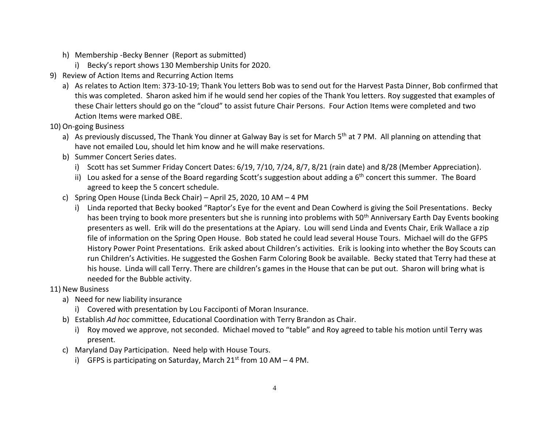- h) Membership -Becky Benner (Report as submitted)
	- i) Becky's report shows 130 Membership Units for 2020.
- 9) Review of Action Items and Recurring Action Items
	- a) As relates to Action Item: 373-10-19; Thank You letters Bob was to send out for the Harvest Pasta Dinner, Bob confirmed that this was completed. Sharon asked him if he would send her copies of the Thank You letters. Roy suggested that examples of these Chair letters should go on the "cloud" to assist future Chair Persons. Four Action Items were completed and two Action Items were marked OBE.
- 10) On-going Business
	- a) As previously discussed, The Thank You dinner at Galway Bay is set for March 5<sup>th</sup> at 7 PM. All planning on attending that have not emailed Lou, should let him know and he will make reservations.
	- b) Summer Concert Series dates.
		- i) Scott has set Summer Friday Concert Dates: 6/19, 7/10, 7/24, 8/7, 8/21 (rain date) and 8/28 (Member Appreciation).
		- ii) Lou asked for a sense of the Board regarding Scott's suggestion about adding a  $6<sup>th</sup>$  concert this summer. The Board agreed to keep the 5 concert schedule.
	- c) Spring Open House (Linda Beck Chair) April 25, 2020, 10 AM 4 PM
		- i) Linda reported that Becky booked "Raptor's Eye for the event and Dean Cowherd is giving the Soil Presentations. Becky has been trying to book more presenters but she is running into problems with 50<sup>th</sup> Anniversary Earth Day Events booking presenters as well. Erik will do the presentations at the Apiary. Lou will send Linda and Events Chair, Erik Wallace a zip file of information on the Spring Open House. Bob stated he could lead several House Tours. Michael will do the GFPS History Power Point Presentations. Erik asked about Children's activities. Erik is looking into whether the Boy Scouts can run Children's Activities. He suggested the Goshen Farm Coloring Book be available. Becky stated that Terry had these at his house. Linda will call Terry. There are children's games in the House that can be put out. Sharon will bring what is needed for the Bubble activity.
- 11) New Business
	- a) Need for new liability insurance
		- i) Covered with presentation by Lou Facciponti of Moran Insurance.
	- b) Establish *Ad hoc* committee, Educational Coordination with Terry Brandon as Chair.
		- i) Roy moved we approve, not seconded. Michael moved to "table" and Roy agreed to table his motion until Terry was present.
	- c) Maryland Day Participation. Need help with House Tours.
		- i) GFPS is participating on Saturday, March  $21^{st}$  from 10 AM 4 PM.